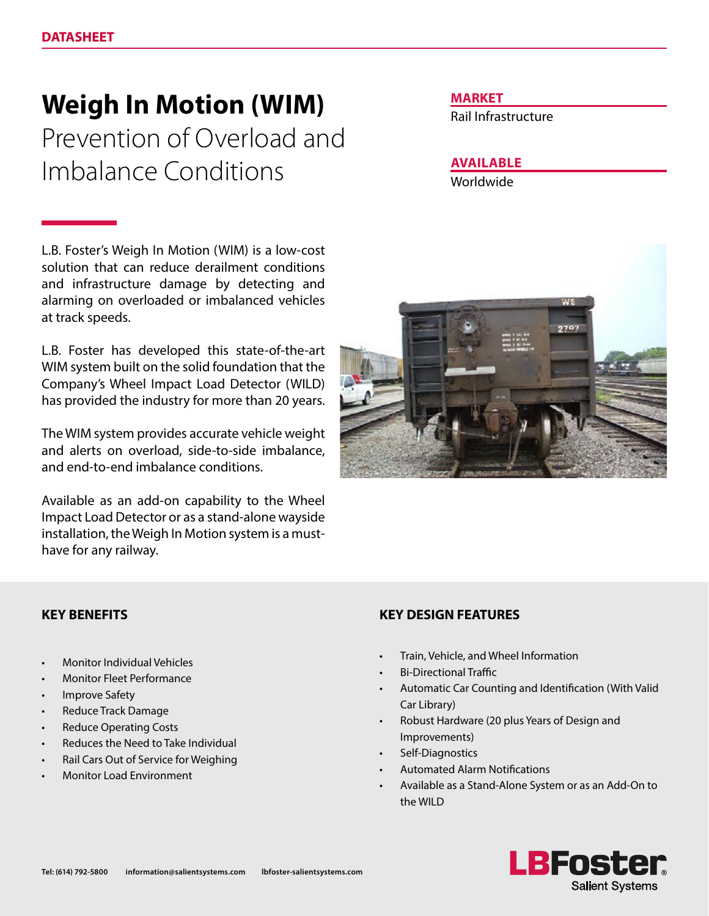# **Weigh In Motion (WIM)**

Prevention of Overload and Imbalance Conditions

L.B. Foster's Weigh In Motion (WIM) is a low-cost solution that can reduce derailment conditions and infrastructure damage by detecting and alarming on overloaded or imbalanced vehicles at track speeds.

L.B. Foster has developed this state-of-the-art WIM system built on the solid foundation that the Company's Wheel Impact Load Detector (WILD) has provided the industry for more than 20 years.

The WIM system provides accurate vehicle weight and alerts on overload, side-to-side imbalance, and end-to-end imbalance conditions.

Available as an add-on capability to the Wheel Impact Load Detector or as a stand-alone wayside installation, the Weigh In Motion system is a musthave for any railway.

## **MARKET**

Rail Infrastructure

# **AVAILABLE**

Worldwide



- Monitor Individual Vehicles
- Monitor Fleet Performance
- **Improve Safety**
- Reduce Track Damage
- Reduce Operating Costs
- Reduces the Need to Take Individual
- Rail Cars Out of Service for Weighing
- Monitor Load Environment

## **KEY BENEFITS KEY DESIGN FEATURES**

- Train, Vehicle, and Wheel Information
- Bi-Directional Traffic
- Automatic Car Counting and Identification (With Valid Car Library)
- Robust Hardware (20 plus Years of Design and Improvements)
- Self-Diagnostics
- Automated Alarm Notifications
- Available as a Stand-Alone System or as an Add-On to the WILD